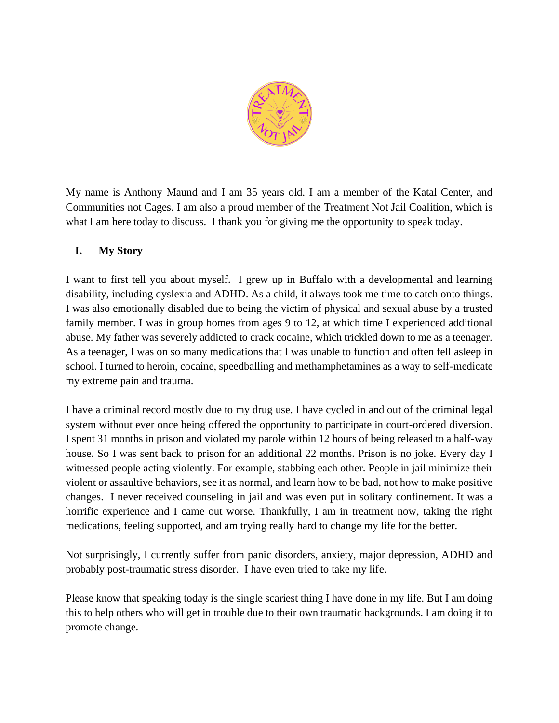

My name is Anthony Maund and I am 35 years old. I am a member of the Katal Center, and Communities not Cages. I am also a proud member of the Treatment Not Jail Coalition, which is what I am here today to discuss. I thank you for giving me the opportunity to speak today.

## **I. My Story**

I want to first tell you about myself. I grew up in Buffalo with a developmental and learning disability, including dyslexia and ADHD. As a child, it always took me time to catch onto things. I was also emotionally disabled due to being the victim of physical and sexual abuse by a trusted family member. I was in group homes from ages 9 to 12, at which time I experienced additional abuse. My father was severely addicted to crack cocaine, which trickled down to me as a teenager. As a teenager, I was on so many medications that I was unable to function and often fell asleep in school. I turned to heroin, cocaine, speedballing and methamphetamines as a way to self-medicate my extreme pain and trauma.

I have a criminal record mostly due to my drug use. I have cycled in and out of the criminal legal system without ever once being offered the opportunity to participate in court-ordered diversion. I spent 31 months in prison and violated my parole within 12 hours of being released to a half-way house. So I was sent back to prison for an additional 22 months. Prison is no joke. Every day I witnessed people acting violently. For example, stabbing each other. People in jail minimize their violent or assaultive behaviors, see it as normal, and learn how to be bad, not how to make positive changes. I never received counseling in jail and was even put in solitary confinement. It was a horrific experience and I came out worse. Thankfully, I am in treatment now, taking the right medications, feeling supported, and am trying really hard to change my life for the better.

Not surprisingly, I currently suffer from panic disorders, anxiety, major depression, ADHD and probably post-traumatic stress disorder. I have even tried to take my life.

Please know that speaking today is the single scariest thing I have done in my life. But I am doing this to help others who will get in trouble due to their own traumatic backgrounds. I am doing it to promote change.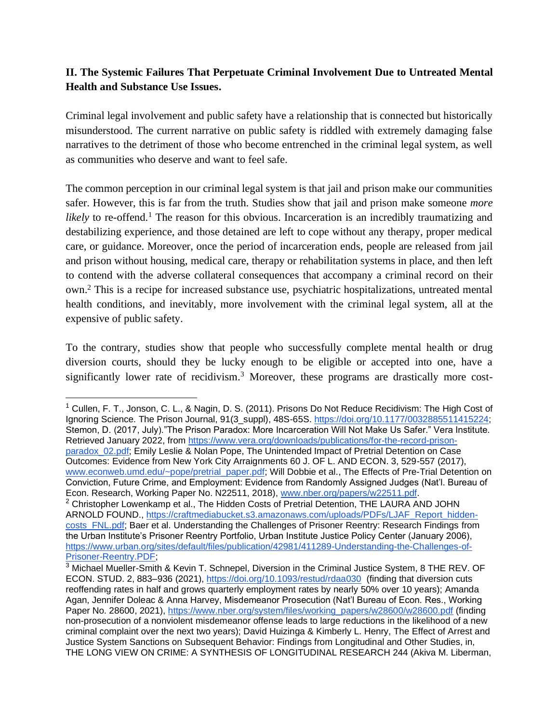## **II. The Systemic Failures That Perpetuate Criminal Involvement Due to Untreated Mental Health and Substance Use Issues.**

Criminal legal involvement and public safety have a relationship that is connected but historically misunderstood. The current narrative on public safety is riddled with extremely damaging false narratives to the detriment of those who become entrenched in the criminal legal system, as well as communities who deserve and want to feel safe.

The common perception in our criminal legal system is that jail and prison make our communities safer. However, this is far from the truth. Studies show that jail and prison make someone *more likely* to re-offend.<sup>1</sup> The reason for this obvious. Incarceration is an incredibly traumatizing and destabilizing experience, and those detained are left to cope without any therapy, proper medical care, or guidance. Moreover, once the period of incarceration ends, people are released from jail and prison without housing, medical care, therapy or rehabilitation systems in place, and then left to contend with the adverse collateral consequences that accompany a criminal record on their own. <sup>2</sup> This is a recipe for increased substance use, psychiatric hospitalizations, untreated mental health conditions, and inevitably, more involvement with the criminal legal system, all at the expensive of public safety.

To the contrary, studies show that people who successfully complete mental health or drug diversion courts, should they be lucky enough to be eligible or accepted into one, have a significantly lower rate of recidivism.<sup>3</sup> Moreover, these programs are drastically more cost-

<sup>&</sup>lt;sup>1</sup> Cullen, F. T., Jonson, C. L., & Nagin, D. S. (2011). Prisons Do Not Reduce Recidivism: The High Cost of Ignoring Science. The Prison Journal, 91(3\_suppl), 48S-65S. [https://doi.org/10.1177/0032885511415224;](https://doi.org/10.1177/0032885511415224) Stemon, D. (2017, July)."The Prison Paradox: More Incarceration Will Not Make Us Safer." Vera Institute. Retrieved January 2022, from [https://www.vera.org/downloads/publications/for-the-record-prison](https://www.vera.org/downloads/publications/for-the-record-prison-paradox_02.pdf)[paradox\\_02.pdf;](https://www.vera.org/downloads/publications/for-the-record-prison-paradox_02.pdf) Emily Leslie & Nolan Pope, The Unintended Impact of Pretrial Detention on Case Outcomes: Evidence from New York City Arraignments 60 J. OF L. AND ECON. 3, 529-557 (2017), [www.econweb.umd.edu/~pope/pretrial\\_paper.pdf;](http://www.econweb.umd.edu/~pope/pretrial_paper.pdf) Will Dobbie et al., The Effects of Pre-Trial Detention on Conviction, Future Crime, and Employment: Evidence from Randomly Assigned Judges (Nat'l. Bureau of Econ. Research, Working Paper No. N22511, 2018), [www.nber.org/papers/w22511.pdf.](http://www.nber.org/papers/w22511.pdf)

 $2$  Christopher Lowenkamp et al., The Hidden Costs of Pretrial Detention, THE LAURA AND JOHN ARNOLD FOUND., [https://craftmediabucket.s3.amazonaws.com/uploads/PDFs/LJAF\\_Report\\_hidden](https://craftmediabucket.s3.amazonaws.com/uploads/PDFs/LJAF_Report_hidden-costs_FNL.pdf)costs FNL.pdf; Baer et al. Understanding the Challenges of Prisoner Reentry: Research Findings from the Urban Institute's Prisoner Reentry Portfolio, Urban Institute Justice Policy Center (January 2006), [https://www.urban.org/sites/default/files/publication/42981/411289-Understanding-the-Challenges-of-](https://www.urban.org/sites/default/files/publication/42981/411289-Understanding-the-Challenges-of-Prisoner-Reentry.PDF)[Prisoner-Reentry.PDF;](https://www.urban.org/sites/default/files/publication/42981/411289-Understanding-the-Challenges-of-Prisoner-Reentry.PDF)

<sup>3</sup> Michael Mueller-Smith & Kevin T. Schnepel, Diversion in the Criminal Justice System, 8 THE REV. OF ECON. STUD. 2, 883–936 (2021),<https://doi.org/10.1093/restud/rdaa030>(finding that diversion cuts reoffending rates in half and grows quarterly employment rates by nearly 50% over 10 years); Amanda Agan, Jennifer Doleac & Anna Harvey, Misdemeanor Prosecution (Nat'l Bureau of Econ. Res., Working Paper No. 28600, 2021), [https://www.nber.org/system/files/working\\_papers/w28600/w28600.pdf](https://www.nber.org/system/files/working_papers/w28600/w28600.pdf) (finding non-prosecution of a nonviolent misdemeanor offense leads to large reductions in the likelihood of a new criminal complaint over the next two years); David Huizinga & Kimberly L. Henry, The Effect of Arrest and Justice System Sanctions on Subsequent Behavior: Findings from Longitudinal and Other Studies, in, THE LONG VIEW ON CRIME: A SYNTHESIS OF LONGITUDINAL RESEARCH 244 (Akiva M. Liberman,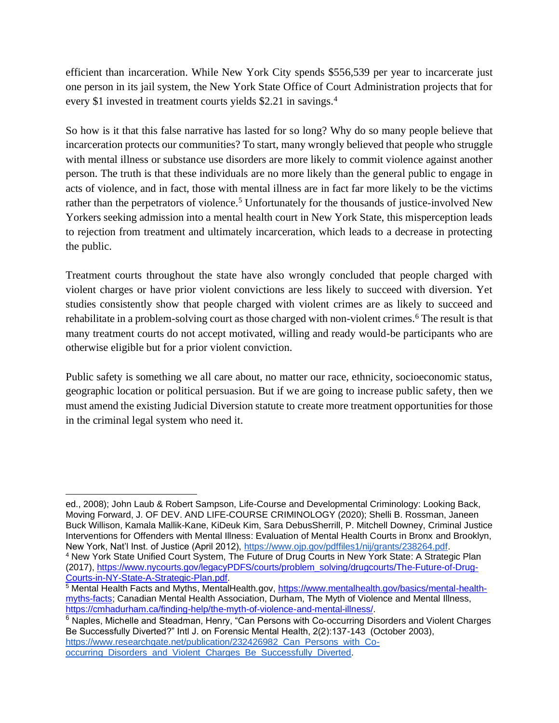efficient than incarceration. While New York City spends \$556,539 per year to incarcerate just one person in its jail system, the New York State Office of Court Administration projects that for every \$1 invested in treatment courts yields \$2.21 in savings.<sup>4</sup>

So how is it that this false narrative has lasted for so long? Why do so many people believe that incarceration protects our communities? To start, many wrongly believed that people who struggle with mental illness or substance use disorders are more likely to commit violence against another person. The truth is that these individuals are no more likely than the general public to engage in acts of violence, and in fact, those with mental illness are in fact far more likely to be the victims rather than the perpetrators of violence.<sup>5</sup> Unfortunately for the thousands of justice-involved New Yorkers seeking admission into a mental health court in New York State, this misperception leads to rejection from treatment and ultimately incarceration, which leads to a decrease in protecting the public.

Treatment courts throughout the state have also wrongly concluded that people charged with violent charges or have prior violent convictions are less likely to succeed with diversion. Yet studies consistently show that people charged with violent crimes are as likely to succeed and rehabilitate in a problem-solving court as those charged with non-violent crimes.<sup>6</sup> The result is that many treatment courts do not accept motivated, willing and ready would-be participants who are otherwise eligible but for a prior violent conviction.

Public safety is something we all care about, no matter our race, ethnicity, socioeconomic status, geographic location or political persuasion. But if we are going to increase public safety, then we must amend the existing Judicial Diversion statute to create more treatment opportunities for those in the criminal legal system who need it.

ed., 2008); John Laub & Robert Sampson, Life-Course and Developmental Criminology: Looking Back, Moving Forward, J. OF DEV. AND LIFE-COURSE CRIMINOLOGY (2020); Shelli B. Rossman, Janeen Buck Willison, Kamala Mallik-Kane, KiDeuk Kim, Sara DebusSherrill, P. Mitchell Downey, Criminal Justice Interventions for Offenders with Mental Illness: Evaluation of Mental Health Courts in Bronx and Brooklyn, New York, Nat'l Inst. of Justice (April 2012), [https://www.ojp.gov/pdffiles1/nij/grants/238264.pdf.](https://www.ojp.gov/pdffiles1/nij/grants/238264.pdf) <sup>4</sup> New York State Unified Court System, The Future of Drug Courts in New York State: A Strategic Plan (2017), [https://www.nycourts.gov/legacyPDFS/courts/problem\\_solving/drugcourts/The-Future-of-Drug-](https://www.nycourts.gov/legacyPDFS/courts/problem_solving/drugcourts/The-Future-of-Drug-Courts-in-NY-State-A-Strategic-Plan.pdf)[Courts-in-NY-State-A-Strategic-Plan.pdf.](https://www.nycourts.gov/legacyPDFS/courts/problem_solving/drugcourts/The-Future-of-Drug-Courts-in-NY-State-A-Strategic-Plan.pdf) 

<sup>5</sup> Mental Health Facts and Myths, MentalHealth.gov, [https://www.mentalhealth.gov/basics/mental-health](https://www.mentalhealth.gov/basics/mental-health-myths-facts)[myths-facts;](https://www.mentalhealth.gov/basics/mental-health-myths-facts) Canadian Mental Health Association, Durham, The Myth of Violence and Mental Illness, [https://cmhadurham.ca/finding-help/the-myth-of-violence-and-mental-illness/.](https://cmhadurham.ca/finding-help/the-myth-of-violence-and-mental-illness/)

<sup>&</sup>lt;sup>6</sup> Naples, Michelle and Steadman, Henry, "Can Persons with Co-occurring Disorders and Violent Charges Be Successfully Diverted?" Intl J. on Forensic Mental Health, 2(2):137-143 (October 2003), [https://www.researchgate.net/publication/232426982\\_Can\\_Persons\\_with\\_Co](https://www.researchgate.net/publication/232426982_Can_Persons_with_Co-occurring_Disorders_and_Violent_Charges_Be_Successfully_Diverted)[occurring\\_Disorders\\_and\\_Violent\\_Charges\\_Be\\_Successfully\\_Diverted.](https://www.researchgate.net/publication/232426982_Can_Persons_with_Co-occurring_Disorders_and_Violent_Charges_Be_Successfully_Diverted)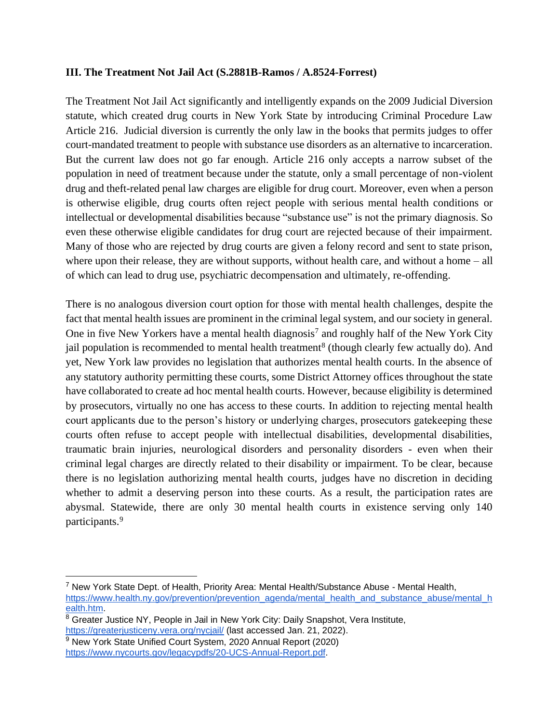## **III. The Treatment Not Jail Act (S.2881B-Ramos / A.8524-Forrest)**

The Treatment Not Jail Act significantly and intelligently expands on the 2009 Judicial Diversion statute, which created drug courts in New York State by introducing Criminal Procedure Law Article 216. Judicial diversion is currently the only law in the books that permits judges to offer court-mandated treatment to people with substance use disorders as an alternative to incarceration. But the current law does not go far enough. Article 216 only accepts a narrow subset of the population in need of treatment because under the statute, only a small percentage of non-violent drug and theft-related penal law charges are eligible for drug court. Moreover, even when a person is otherwise eligible, drug courts often reject people with serious mental health conditions or intellectual or developmental disabilities because "substance use" is not the primary diagnosis. So even these otherwise eligible candidates for drug court are rejected because of their impairment. Many of those who are rejected by drug courts are given a felony record and sent to state prison, where upon their release, they are without supports, without health care, and without a home – all of which can lead to drug use, psychiatric decompensation and ultimately, re-offending.

There is no analogous diversion court option for those with mental health challenges, despite the fact that mental health issues are prominent in the criminal legal system, and our society in general. One in five New Yorkers have a mental health diagnosis<sup>7</sup> and roughly half of the New York City jail population is recommended to mental health treatment<sup>8</sup> (though clearly few actually do). And yet, New York law provides no legislation that authorizes mental health courts. In the absence of any statutory authority permitting these courts, some District Attorney offices throughout the state have collaborated to create ad hoc mental health courts. However, because eligibility is determined by prosecutors, virtually no one has access to these courts. In addition to rejecting mental health court applicants due to the person's history or underlying charges, prosecutors gatekeeping these courts often refuse to accept people with intellectual disabilities, developmental disabilities, traumatic brain injuries, neurological disorders and personality disorders - even when their criminal legal charges are directly related to their disability or impairment. To be clear, because there is no legislation authorizing mental health courts, judges have no discretion in deciding whether to admit a deserving person into these courts. As a result, the participation rates are abysmal. Statewide, there are only 30 mental health courts in existence serving only 140 participants.<sup>9</sup>

 $^7$  New York State Dept. of Health, Priority Area: Mental Health/Substance Abuse - Mental Health, [https://www.health.ny.gov/prevention/prevention\\_agenda/mental\\_health\\_and\\_substance\\_abuse/mental\\_h](https://www.health.ny.gov/prevention/prevention_agenda/mental_health_and_substance_abuse/mental_health.htm) [ealth.htm.](https://www.health.ny.gov/prevention/prevention_agenda/mental_health_and_substance_abuse/mental_health.htm)

<sup>&</sup>lt;sup>8</sup> Greater Justice NY, People in Jail in New York City: Daily Snapshot, Vera Institute, <https://greaterjusticeny.vera.org/nycjail/> (last accessed Jan. 21, 2022).

<sup>&</sup>lt;sup>9</sup> New York State Unified Court System, 2020 Annual Report (2020) [https://www.nycourts.gov/legacypdfs/20-UCS-Annual-Report.pdf.](https://www.nycourts.gov/legacypdfs/20-UCS-Annual-Report.pdf)